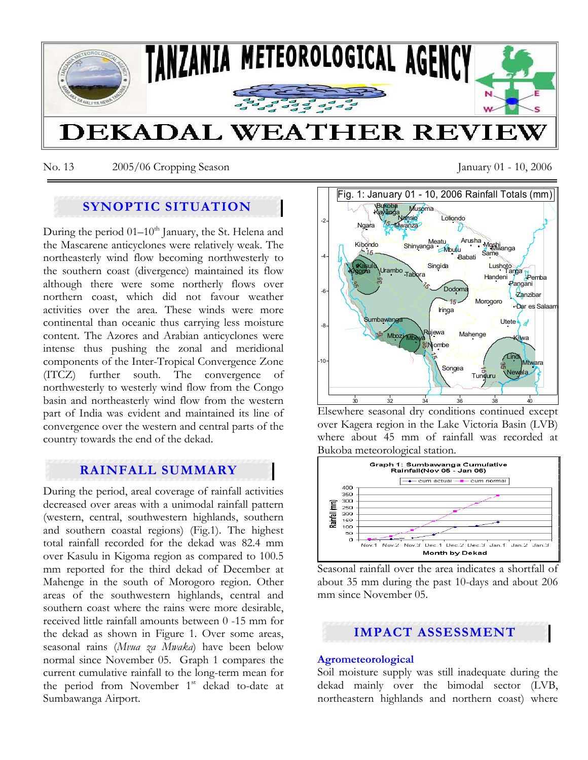

No. 13 2005/06 Cropping Season January 01 - 10, 2006

# **SYNOPTIC SITUATION**

During the period  $01-10^{th}$  January, the St. Helena and the Mascarene anticyclones were relatively weak. The northeasterly wind flow becoming northwesterly to the southern coast (divergence) maintained its flow although there were some northerly flows over northern coast, which did not favour weather activities over the area. These winds were more continental than oceanic thus carrying less moisture content. The Azores and Arabian anticyclones were intense thus pushing the zonal and meridional components of the Inter-Tropical Convergence Zone (ITCZ) further south. The convergence of northwesterly to westerly wind flow from the Congo basin and northeasterly wind flow from the western part of India was evident and maintained its line of convergence over the western and central parts of the country towards the end of the dekad.

# **RAINFALL SUMMARY**

During the period, areal coverage of rainfall activities decreased over areas with a unimodal rainfall pattern (western, central, southwestern highlands, southern and southern coastal regions) (Fig.1). The highest total rainfall recorded for the dekad was 82.4 mm over Kasulu in Kigoma region as compared to 100.5 mm reported for the third dekad of December at Mahenge in the south of Morogoro region. Other areas of the southwestern highlands, central and southern coast where the rains were more desirable, received little rainfall amounts between 0 -15 mm for the dekad as shown in Figure 1. Over some areas, seasonal rains (*Mvua za Mwaka*) have been below normal since November 05. Graph 1 compares the current cumulative rainfall to the long-term mean for the period from November  $1<sup>st</sup>$  dekad to-date at Sumbawanga Airport.



Elsewhere seasonal dry conditions continued except over Kagera region in the Lake Victoria Basin (LVB) where about 45 mm of rainfall was recorded at Bukoba meteorological station.



Seasonal rainfall over the area indicates a shortfall of about 35 mm during the past 10-days and about 206 mm since November 05.

# **IMPACT ASSESSMENT**

## **Agrometeorological**

Soil moisture supply was still inadequate during the dekad mainly over the bimodal sector (LVB, northeastern highlands and northern coast) where